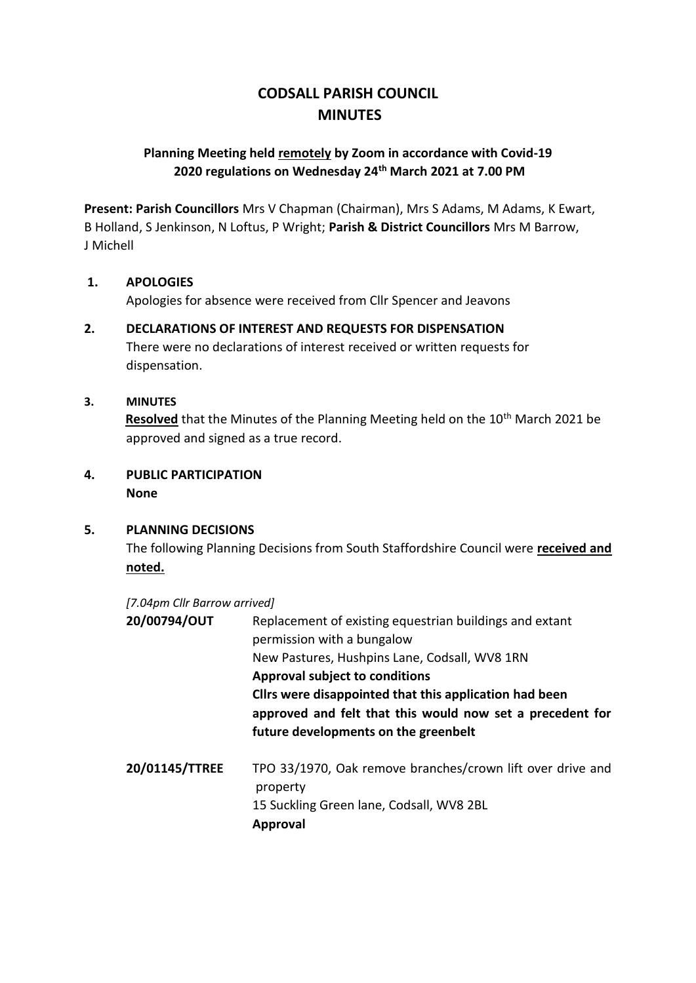# **CODSALL PARISH COUNCIL MINUTES**

### **Planning Meeting held remotely by Zoom in accordance with Covid-19 2020 regulations on Wednesday 24th March 2021 at 7.00 PM**

**Present: Parish Councillors** Mrs V Chapman (Chairman), Mrs S Adams, M Adams, K Ewart, B Holland, S Jenkinson, N Loftus, P Wright; **Parish & District Councillors** Mrs M Barrow, J Michell

#### **1. APOLOGIES**

Apologies for absence were received from Cllr Spencer and Jeavons

## **2. DECLARATIONS OF INTEREST AND REQUESTS FOR DISPENSATION** There were no declarations of interest received or written requests for

dispensation.

#### **3. MINUTES**

**Resolved** that the Minutes of the Planning Meeting held on the 10<sup>th</sup> March 2021 be approved and signed as a true record.

### **4. PUBLIC PARTICIPATION None**

#### **5. PLANNING DECISIONS**

The following Planning Decisions from South Staffordshire Council were **received and noted.**

*[7.04pm Cllr Barrow arrived]*

| 20/00794/OUT   | Replacement of existing equestrian buildings and extant<br>permission with a bungalow<br>New Pastures, Hushpins Lane, Codsall, WV8 1RN<br><b>Approval subject to conditions</b><br>Cllrs were disappointed that this application had been<br>approved and felt that this would now set a precedent for<br>future developments on the greenbelt |
|----------------|------------------------------------------------------------------------------------------------------------------------------------------------------------------------------------------------------------------------------------------------------------------------------------------------------------------------------------------------|
| 20/01145/TTREE | TPO 33/1970, Oak remove branches/crown lift over drive and<br>property<br>15 Suckling Green lane, Codsall, WV8 2BL<br><b>Approval</b>                                                                                                                                                                                                          |